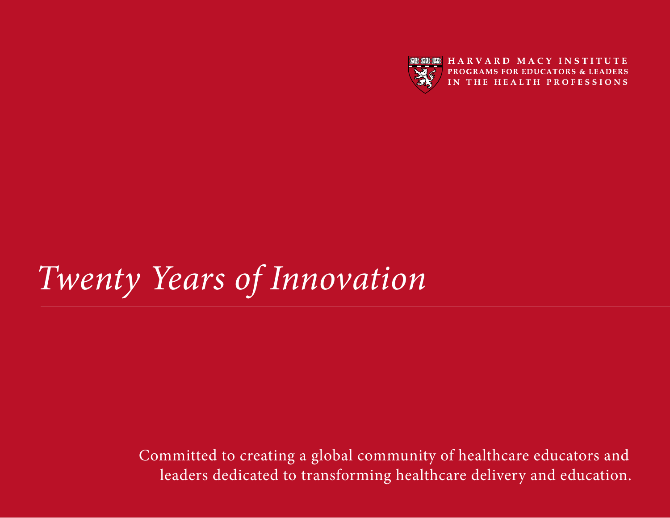

# *Twenty Years of Innovation*

The Indian Catholical Connection: **In** Committed to creating a global community of healthcare educators and leaders dedicated to transforming healthcare delivery and education.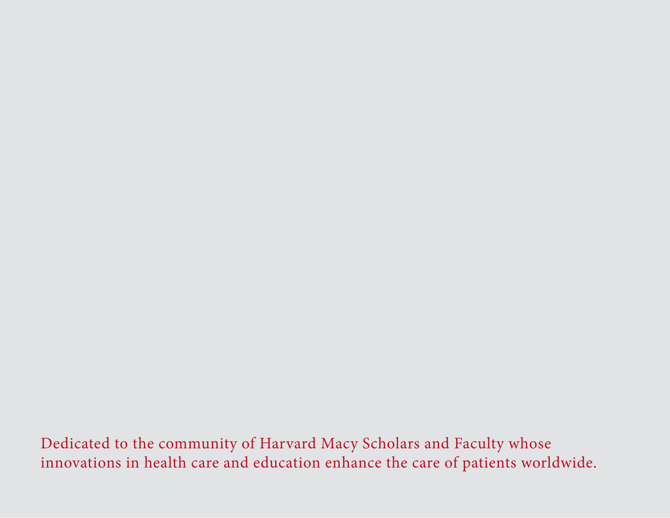Dedicated to the community of Harvard Macy Scholars and Faculty whose innovations in health care and education enhance the care of patients worldwide.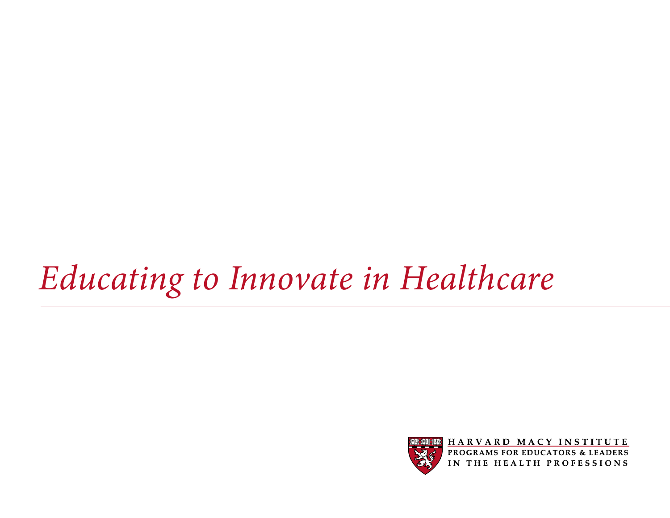# *Educating to Innovate in Healthcare*



HARVARD MACY INSTITUTE **PROGRAMS FOR EDUCATORS & LEADERS<br>IN THE HEALTH PROFESSIONS**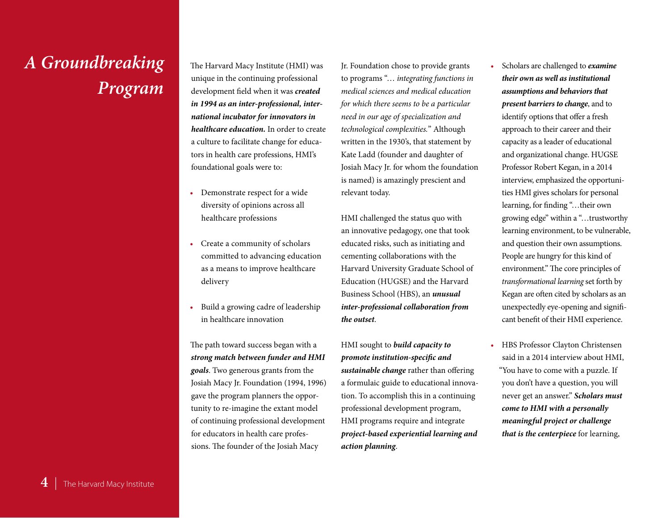## *A Groundbreaking Program*

The Harvard Macy Institute (HMI) was unique in the continuing professional development field when it was *created in 1994 as an inter-professional, international incubator for innovators in healthcare education.* In order to create a culture to facilitate change for educators in health care professions, HMI's foundational goals were to:

- • Demonstrate respect for a wide diversity of opinions across all healthcare professions
- • Create a community of scholars committed to advancing education as a means to improve healthcare delivery
- • Build a growing cadre of leadership in healthcare innovation

The path toward success began with a *strong match between funder and HMI goals*. Two generous grants from the Josiah Macy Jr. Foundation (1994, 1996) gave the program planners the opportunity to re-imagine the extant model of continuing professional development for educators in health care professions. The founder of the Josiah Macy

Jr. Foundation chose to provide grants to programs "… *integrating functions in medical sciences and medical education for which there seems to be a particular need in our age of specialization and technological complexities.*" Although written in the 1930's, that statement by Kate Ladd (founder and daughter of Josiah Macy Jr. for whom the foundation is named) is amazingly prescient and relevant today.

HMI challenged the status quo with an innovative pedagogy, one that took educated risks, such as initiating and cementing collaborations with the Harvard University Graduate School of Education (HUGSE) and the Harvard Business School (HBS), an *unusual inter-professional collaboration from the outset*.

HMI sought to *build capacity to promote institution-specific and sustainable change* rather than offering a formulaic guide to educational innovation. To accomplish this in a continuing professional development program, HMI programs require and integrate *project-based experiential learning and action planning*.

- • Scholars are challenged to *examine their own as well as institutional assumptions and behaviors that present barriers to change*, and to identify options that offer a fresh approach to their career and their capacity as a leader of educational and organizational change. HUGSE Professor Robert Kegan, in a 2014 interview, emphasized the opportunities HMI gives scholars for personal learning, for finding "…their own growing edge" within a "…trustworthy learning environment, to be vulnerable, and question their own assumptions. People are hungry for this kind of environment." The core principles of *transformational learning* set forth by Kegan are often cited by scholars as an unexpectedly eye-opening and significant benefit of their HMI experience.
- HBS Professor Clayton Christensen said in a 2014 interview about HMI, "You have to come with a puzzle. If you don't have a question, you will never get an answer." *Scholars must come to HMI with a personally meaningful project or challenge that is the centerpiece* for learning,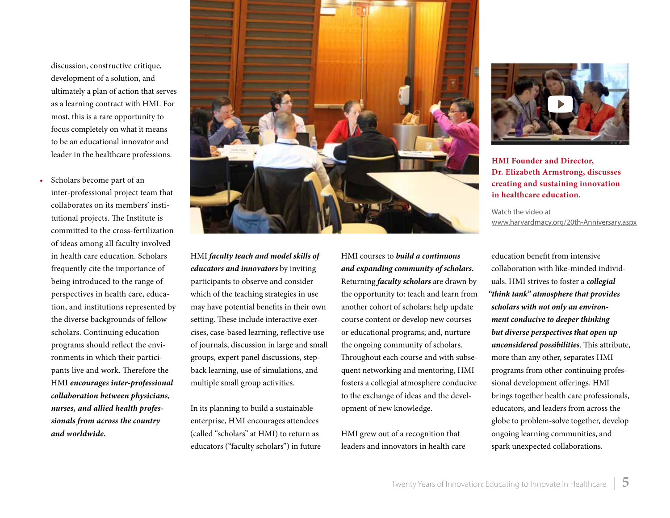discussion, constructive critique, development of a solution, and ultimately a plan of action that serves as a learning contract with HMI. For most, this is a rare opportunity to focus completely on what it means to be an educational innovator and leader in the healthcare professions.

Scholars become part of an inter-professional project team that collaborates on its members' institutional projects. The Institute is committed to the cross-fertilization of ideas among all faculty involved in health care education. Scholars frequently cite the importance of being introduced to the range of perspectives in health care, education, and institutions represented by the diverse backgrounds of fellow scholars. Continuing education programs should reflect the environments in which their participants live and work. Therefore the HMI *encourages inter-professional collaboration between physicians, nurses, and allied health professionals from across the country and worldwide.*



HMI *faculty teach and model skills of educators and innovators* by inviting participants to observe and consider which of the teaching strategies in use may have potential benefits in their own setting. These include interactive exercises, case-based learning, reflective use of journals, discussion in large and small groups, expert panel discussions, stepback learning, use of simulations, and multiple small group activities.

In its planning to build a sustainable enterprise, HMI encourages attendees (called "scholars" at HMI) to return as educators ("faculty scholars") in future HMI courses to *build a continuous and expanding community of scholars.* Returning *faculty scholars* are drawn by the opportunity to: teach and learn from another cohort of scholars; help update course content or develop new courses or educational programs; and, nurture the ongoing community of scholars. Throughout each course and with subsequent networking and mentoring, HMI fosters a collegial atmosphere conducive to the exchange of ideas and the development of new knowledge.

HMI grew out of a recognition that leaders and innovators in health care



**HMI Founder and Director, Dr. Elizabeth Armstrong, discusses creating and sustaining innovation in healthcare education.**

Watch the video at [www.harvardmacy.org/20th-Anniversary.aspx](http://www.harvardmacy.org/20th-Anniversary.aspx)

education benefit from intensive collaboration with like-minded individuals. HMI strives to foster a *collegial "think tank" atmosphere that provides scholars with not only an environment conducive to deeper thinking but diverse perspectives that open up unconsidered possibilities*. This attribute, more than any other, separates HMI programs from other continuing professional development offerings. HMI brings together health care professionals, educators, and leaders from across the globe to problem-solve together, develop ongoing learning communities, and spark unexpected collaborations.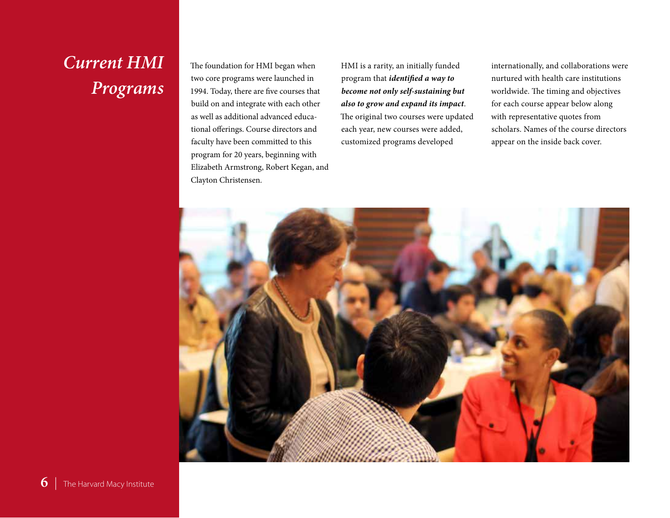## *Current HMI Programs*

The foundation for HMI began when two core programs were launched in 1994. Today, there are five courses that build on and integrate with each other as well as additional advanced educational offerings. Course directors and faculty have been committed to this program for 20 years, beginning with Elizabeth Armstrong, Robert Kegan, and Clayton Christensen.

HMI is a rarity, an initially funded program that *identified a way to become not only self-sustaining but also to grow and expand its impact*. The original two courses were updated each year, new courses were added, customized programs developed

internationally, and collaborations were nurtured with health care institutions worldwide. The timing and objectives for each course appear below along with representative quotes from scholars. Names of the course directors appear on the inside back cover.

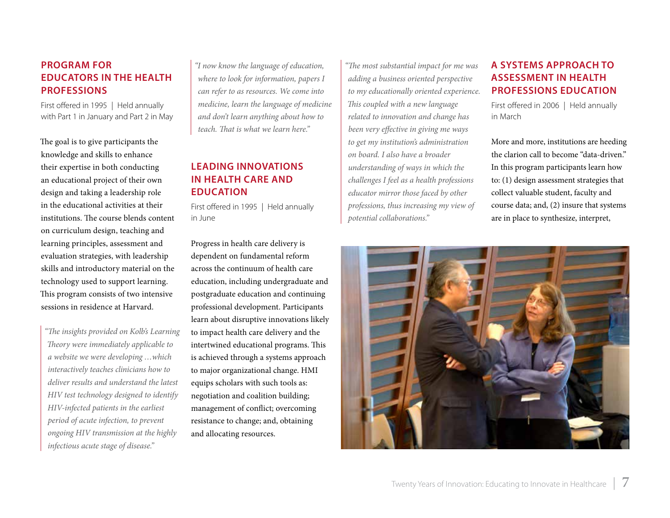### **Program for Educators in the Health Professions**

First offered in 1995 | Held annually with Part 1 in January and Part 2 in May

The goal is to give participants the knowledge and skills to enhance their expertise in both conducting an educational project of their own design and taking a leadership role in the educational activities at their institutions. The course blends content on curriculum design, teaching and learning principles, assessment and evaluation strategies, with leadership skills and introductory material on the technology used to support learning. This program consists of two intensive sessions in residence at Harvard.

*"The insights provided on Kolb's Learning Theory were immediately applicable to a website we were developing …which interactively teaches clinicians how to deliver results and understand the latest HIV test technology designed to identify HIV-infected patients in the earliest period of acute infection, to prevent ongoing HIV transmission at the highly infectious acute stage of disease."*

*"I now know the language of education, where to look for information, papers I can refer to as resources. We come into medicine, learn the language of medicine and don't learn anything about how to teach. That is what we learn here."* 

### **Leading Innovations in Health Care and Education**

First offered in 1995 | Held annually in June

Progress in health care delivery is dependent on fundamental reform across the continuum of health care education, including undergraduate and postgraduate education and continuing professional development. Participants learn about disruptive innovations likely to impact health care delivery and the intertwined educational programs. This is achieved through a systems approach to major organizational change. HMI equips scholars with such tools as: negotiation and coalition building; management of conflict; overcoming resistance to change; and, obtaining and allocating resources.

*"The most substantial impact for me was adding a business oriented perspective to my educationally oriented experience. This coupled with a new language related to innovation and change has been very effective in giving me ways to get my institution's administration on board. I also have a broader understanding of ways in which the challenges I feel as a health professions educator mirror those faced by other professions, thus increasing my view of potential collaborations."* 

### **A Systems Approach to Assessment in Health Professions Education**

First offered in 2006 | Held annually in March

More and more, institutions are heeding the clarion call to become "data-driven." In this program participants learn how to: (1) design assessment strategies that collect valuable student, faculty and course data; and, (2) insure that systems are in place to synthesize, interpret,

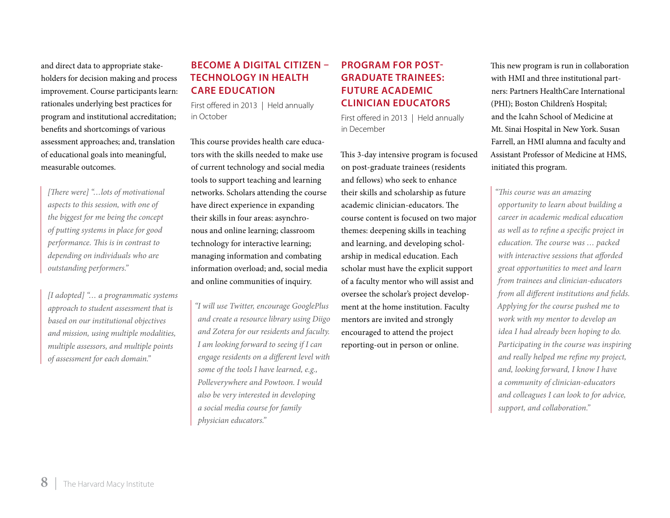and direct data to appropriate stakeholders for decision making and process improvement. Course participants learn: rationales underlying best practices for program and institutional accreditation; benefits and shortcomings of various assessment approaches; and, translation of educational goals into meaningful, measurable outcomes.

*[There were] "…lots of motivational aspects to this session, with one of the biggest for me being the concept of putting systems in place for good performance. This is in contrast to depending on individuals who are outstanding performers."* 

*[I adopted] "… a programmatic systems approach to student assessment that is based on our institutional objectives and mission, using multiple modalities, multiple assessors, and multiple points of assessment for each domain."* 

### **Become a Digital Citizen – Technology in Health Care Education**

First offered in 2013 | Held annually in October

This course provides health care educators with the skills needed to make use of current technology and social media tools to support teaching and learning networks. Scholars attending the course have direct experience in expanding their skills in four areas: asynchronous and online learning; classroom technology for interactive learning; managing information and combating information overload; and, social media and online communities of inquiry.

*"I will use Twitter, encourage GooglePlus and create a resource library using Diigo and Zotera for our residents and faculty. I am looking forward to seeing if I can engage residents on a different level with some of the tools I have learned, e.g., Polleverywhere and Powtoon. I would also be very interested in developing a social media course for family physician educators."* 

### **Program for Post-Graduate Trainees: Future Academic Clinician Educators**

First offered in 2013 | Held annually in December

This 3-day intensive program is focused on post-graduate trainees (residents and fellows) who seek to enhance their skills and scholarship as future academic clinician-educators. The course content is focused on two major themes: deepening skills in teaching and learning, and developing scholarship in medical education. Each scholar must have the explicit support of a faculty mentor who will assist and oversee the scholar's project development at the home institution. Faculty mentors are invited and strongly encouraged to attend the project reporting-out in person or online.

This new program is run in collaboration with HMI and three institutional partners: Partners HealthCare International (PHI); Boston Children's Hospital; and the Icahn School of Medicine at Mt. Sinai Hospital in New York. Susan Farrell, an HMI alumna and faculty and Assistant Professor of Medicine at HMS, initiated this program.

*"This course was an amazing opportunity to learn about building a career in academic medical education as well as to refine a specific project in education. The course was … packed with interactive sessions that afforded great opportunities to meet and learn from trainees and clinician-educators from all different institutions and fields. Applying for the course pushed me to work with my mentor to develop an idea I had already been hoping to do. Participating in the course was inspiring and really helped me refine my project, and, looking forward, I know I have a community of clinician-educators and colleagues I can look to for advice, support, and collaboration."*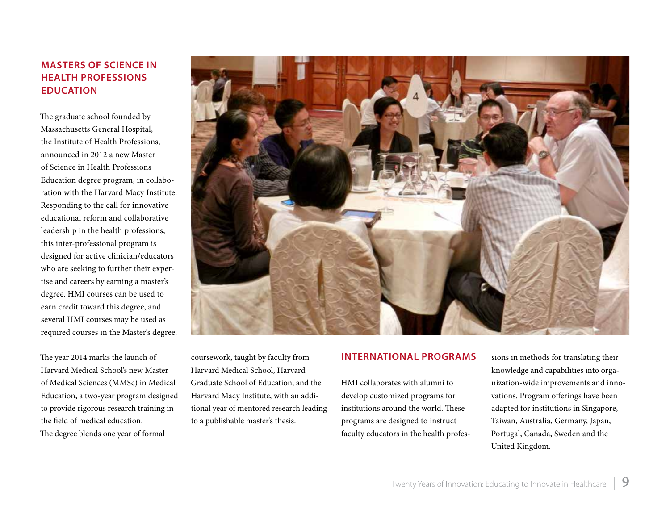### **Masters of Science in Health Professions Education**

The graduate school founded by Massachusetts General Hospital, the Institute of Health Professions, announced in 2012 a new Master of Science in Health Professions Education degree program, in collaboration with the Harvard Macy Institute. Responding to the call for innovative educational reform and collaborative leadership in the health professions, this inter-professional program is designed for active clinician/educators who are seeking to further their expertise and careers by earning a master's degree. HMI courses can be used to earn credit toward this degree, and several HMI courses may be used as required courses in the Master's degree.

The year 2014 marks the launch of Harvard Medical School's new Master of Medical Sciences (MMSc) in Medical Education, a two-year program designed to provide rigorous research training in the field of medical education. The degree blends one year of formal



coursework, taught by faculty from Harvard Medical School, Harvard Graduate School of Education, and the Harvard Macy Institute, with an additional year of mentored research leading to a publishable master's thesis.

#### **International Programs**

HMI collaborates with alumni to develop customized programs for institutions around the world. These programs are designed to instruct faculty educators in the health professions in methods for translating their knowledge and capabilities into organization-wide improvements and innovations. Program offerings have been adapted for institutions in Singapore, Taiwan, Australia, Germany, Japan, Portugal, Canada, Sweden and the United Kingdom.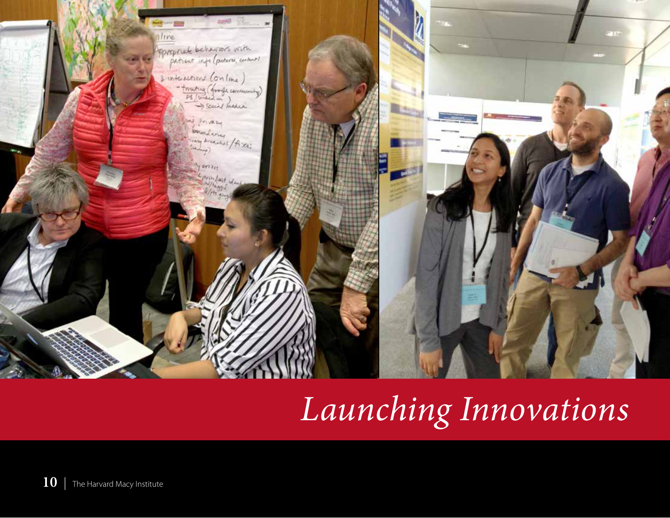

# *Launching Innovations*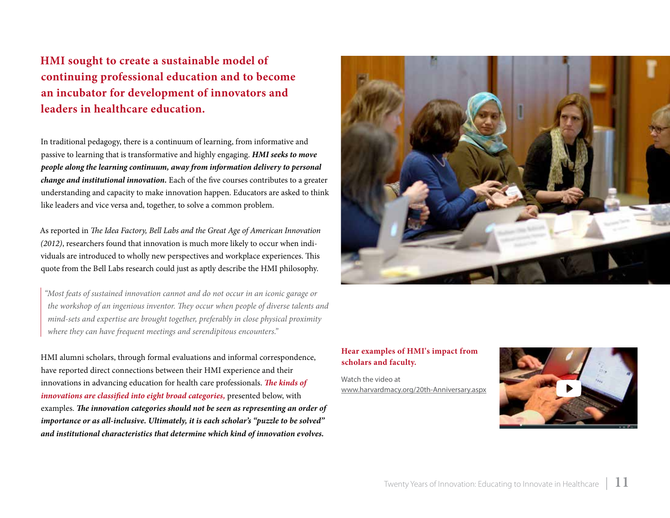**HMI sought to create a sustainable model of continuing professional education and to become an incubator for development of innovators and leaders in healthcare education.** 

In traditional pedagogy, there is a continuum of learning, from informative and passive to learning that is transformative and highly engaging. *HMI seeks to move people along the learning continuum, away from information delivery to personal change and institutional innovation.* Each of the five courses contributes to a greater understanding and capacity to make innovation happen. Educators are asked to think like leaders and vice versa and, together, to solve a common problem.

As reported in *The Idea Factory, Bell Labs and the Great Age of American Innovation (2012)*, researchers found that innovation is much more likely to occur when individuals are introduced to wholly new perspectives and workplace experiences. This quote from the Bell Labs research could just as aptly describe the HMI philosophy.

*"Most feats of sustained innovation cannot and do not occur in an iconic garage or the workshop of an ingenious inventor. They occur when people of diverse talents and mind-sets and expertise are brought together, preferably in close physical proximity where they can have frequent meetings and serendipitous encounters."*

HMI alumni scholars, through formal evaluations and informal correspondence, have reported direct connections between their HMI experience and their innovations in advancing education for health care professionals. *The kinds of innovations are classified into eight broad categories,* presented below, with examples. *The innovation categories should not be seen as representing an order of importance or as all-inclusive. Ultimately, it is each scholar's "puzzle to be solved" and institutional characteristics that determine which kind of innovation evolves.*



#### **Hear examples of HMI's impact from scholars and faculty.**

Watch the video at [www.harvardmacy.org/20th-Anniversary.aspx](http://www.harvardmacy.org/20th-Anniversary.aspx)

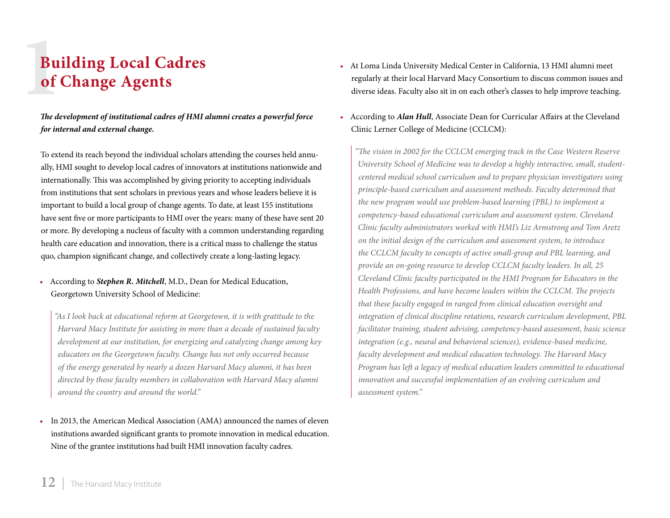# **1**<br>**1**<br>**1**<br>**1 Building Local Cadres of Change Agents**

*The development of institutional cadres of HMI alumni creates a powerful force for internal and external change.*

To extend its reach beyond the individual scholars attending the courses held annually, HMI sought to develop local cadres of innovators at institutions nationwide and internationally. This was accomplished by giving priority to accepting individuals from institutions that sent scholars in previous years and whose leaders believe it is important to build a local group of change agents. To date, at least 155 institutions have sent five or more participants to HMI over the years: many of these have sent 20 or more. By developing a nucleus of faculty with a common understanding regarding health care education and innovation, there is a critical mass to challenge the status quo, champion significant change, and collectively create a long-lasting legacy.

• According to *Stephen R. Mitchell*, M.D., Dean for Medical Education, Georgetown University School of Medicine:

*"As I look back at educational reform at Georgetown, it is with gratitude to the Harvard Macy Institute for assisting in more than a decade of sustained faculty development at our institution, for energizing and catalyzing change among key educators on the Georgetown faculty. Change has not only occurred because of the energy generated by nearly a dozen Harvard Macy alumni, it has been directed by those faculty members in collaboration with Harvard Macy alumni around the country and around the world."* 

In 2013, the American Medical Association (AMA) announced the names of eleven institutions awarded significant grants to promote innovation in medical education. Nine of the grantee institutions had built HMI innovation faculty cadres.

- • At Loma Linda University Medical Center in California, 13 HMI alumni meet regularly at their local Harvard Macy Consortium to discuss common issues and diverse ideas. Faculty also sit in on each other's classes to help improve teaching.
- According to *Alan Hull*, Associate Dean for Curricular Affairs at the Cleveland Clinic Lerner College of Medicine (CCLCM):

*"The vision in 2002 for the CCLCM emerging track in the Case Western Reserve University School of Medicine was to develop a highly interactive, small, studentcentered medical school curriculum and to prepare physician investigators using principle-based curriculum and assessment methods. Faculty determined that the new program would use problem-based learning (PBL) to implement a competency-based educational curriculum and assessment system. Cleveland Clinic faculty administrators worked with HMI's Liz Armstrong and Tom Aretz on the initial design of the curriculum and assessment system, to introduce the CCLCM faculty to concepts of active small-group and PBL learning, and provide an on-going resource to develop CCLCM faculty leaders. In all, 25 Cleveland Clinic faculty participated in the HMI Program for Educators in the Health Professions, and have become leaders within the CCLCM. The projects that these faculty engaged in ranged from clinical education oversight and integration of clinical discipline rotations, research curriculum development, PBL facilitator training, student advising, competency-based assessment, basic science integration (e.g., neural and behavioral sciences), evidence-based medicine, faculty development and medical education technology. The Harvard Macy Program has left a legacy of medical education leaders committed to educational innovation and successful implementation of an evolving curriculum and assessment system."*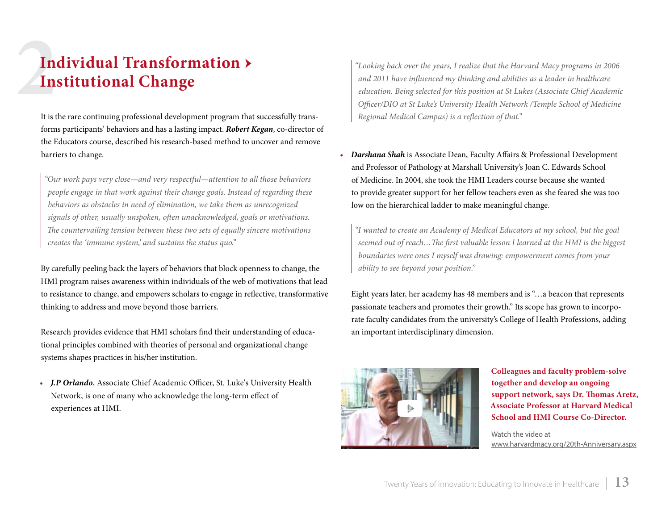# **2**<br>**2In Individual Transformation → Institutional Change**

It is the rare continuing professional development program that successfully transforms participants' behaviors and has a lasting impact. *Robert Kegan*, co-director of the Educators course, described his research-based method to uncover and remove barriers to change.

*"Our work pays very close—and very respectful—attention to all those behaviors people engage in that work against their change goals. Instead of regarding these behaviors as obstacles in need of elimination, we take them as unrecognized signals of other, usually unspoken, often unacknowledged, goals or motivations. The countervailing tension between these two sets of equally sincere motivations creates the 'immune system,' and sustains the status quo."*

By carefully peeling back the layers of behaviors that block openness to change, the HMI program raises awareness within individuals of the web of motivations that lead to resistance to change, and empowers scholars to engage in reflective, transformative thinking to address and move beyond those barriers.

Research provides evidence that HMI scholars find their understanding of educational principles combined with theories of personal and organizational change systems shapes practices in his/her institution.

*• J.P Orlando*, Associate Chief Academic Officer, St. Luke's University Health Network, is one of many who acknowledge the long-term effect of experiences at HMI.

*"Looking back over the years, I realize that the Harvard Macy programs in 2006 and 2011 have influenced my thinking and abilities as a leader in healthcare education. Being selected for this position at St Lukes (Associate Chief Academic Officer/DIO at St Luke's University Health Network /Temple School of Medicine Regional Medical Campus) is a reflection of that."*

*• Darshana Shah* is Associate Dean, Faculty Affairs & Professional Development and Professor of Pathology at Marshall University's Joan C. Edwards School of Medicine. In 2004, she took the HMI Leaders course because she wanted to provide greater support for her fellow teachers even as she feared she was too low on the hierarchical ladder to make meaningful change.

*"I wanted to create an Academy of Medical Educators at my school, but the goal seemed out of reach…The first valuable lesson I learned at the HMI is the biggest boundaries were ones I myself was drawing: empowerment comes from your ability to see beyond your position."* 

Eight years later, her academy has 48 members and is "…a beacon that represents passionate teachers and promotes their growth." Its scope has grown to incorporate faculty candidates from the university's College of Health Professions, adding an important interdisciplinary dimension.



**Colleagues and faculty problem-solve together and develop an ongoing support network, says Dr. Thomas Aretz, Associate Professor at Harvard Medical School and HMI Course Co-Director.**

Watch the video at [www.harvardmacy.org/20th-Anniversary.aspx](http://www.harvardmacy.org/20th-Anniversary.aspx)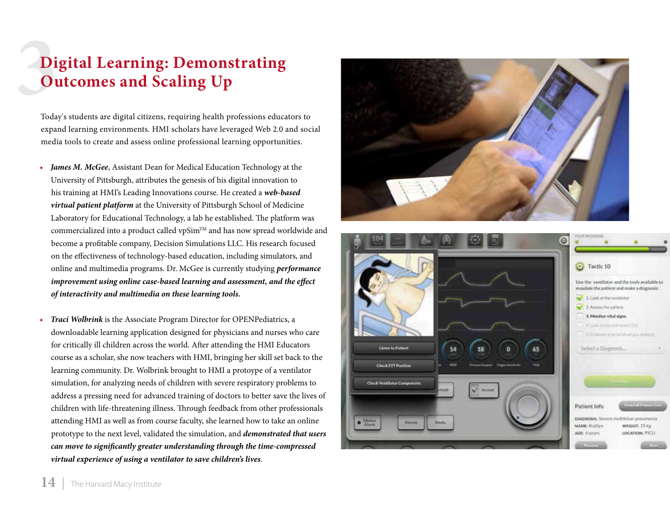# **1**<br>**1**<br>Test **Digital Learning: Demonstrating Outcomes and Scaling Up**

Today's students are digital citizens, requiring health professions educators to expand learning environments. HMI scholars have leveraged Web 2.0 and social media tools to create and assess online professional learning opportunities.

- *James M. McGee, Assistant Dean for Medical Education Technology at the* University of Pittsburgh, attributes the genesis of his digital innovation to his training at HMI's Leading Innovations course. He created a *web-based virtual patient platform* at the University of Pittsburgh School of Medicine Laboratory for Educational Technology, a lab he established. The platform was commercialized into a product called vpSim™ and has now spread worldwide and become a profitable company, Decision Simulations LLC. His research focused on the effectiveness of technology-based education, including simulators, and online and multimedia programs. Dr. McGee is currently studying *performance improvement using online case-based learning and assessment, and the effect of interactivity and multimedia on these learning tools.*
- *• Traci Wolbrink* is the Associate Program Director for OPENPediatrics, a downloadable learning application designed for physicians and nurses who care for critically ill children across the world. After attending the HMI Educators course as a scholar, she now teachers with HMI, bringing her skill set back to the learning community. Dr. Wolbrink brought to HMI a protoype of a ventilator simulation, for analyzing needs of children with severe respiratory problems to address a pressing need for advanced training of doctors to better save the lives of children with life-threatening illness. Through feedback from other professionals attending HMI as well as from course faculty, she learned how to take an online prototype to the next level, validated the simulation, and *demonstrated that users can move to significantly greater understanding through the time-compressed virtual experience of using a ventilator to save children's lives*.



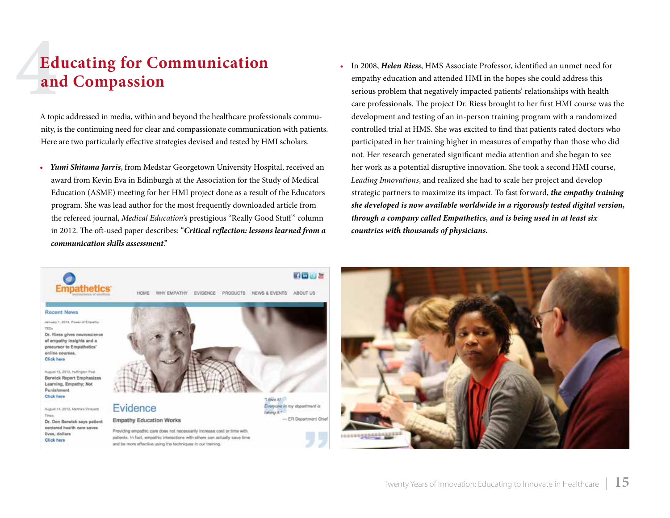# **4**<br>**4**<br>**4**<br>**4 Educating for Communication and Compassion**

A topic addressed in media, within and beyond the healthcare professionals community, is the continuing need for clear and compassionate communication with patients. Here are two particularly effective strategies devised and tested by HMI scholars.

- *• Yumi Shitama Jarris*, from Medstar Georgetown University Hospital, received an award from Kevin Eva in Edinburgh at the Association for the Study of Medical Education (ASME) meeting for her HMI project done as a result of the Educators program. She was lead author for the most frequently downloaded article from the refereed journal, *Medical Education*'s prestigious "Really Good Stuff" column in 2012. The oft-used paper describes: "*[Critical reflection: lessons learned from a](http://onlinelibrary.wiley.com/doi/10.1111/j.1365-2923.2012.04237.x/full)  [communication skills assessment](http://onlinelibrary.wiley.com/doi/10.1111/j.1365-2923.2012.04237.x/full)*."
- • In 2008, *Helen Riess*, HMS Associate Professor, identified an unmet need for empathy education and attended HMI in the hopes she could address this serious problem that negatively impacted patients' relationships with health care professionals. The project Dr. Riess brought to her first HMI course was the development and testing of an in-person training program with a randomized controlled trial at HMS. She was excited to find that patients rated doctors who participated in her training higher in measures of empathy than those who did not. Her research generated significant media attention and she began to see her work as a potential disruptive innovation. She took a second HMI course, *Leading Innovations*, and realized she had to scale her project and develop strategic partners to maximize its impact. To fast forward, *the empathy training she developed is now available worldwide in a rigorously tested digital version, through a company called Empathetics, and is being used in at least six countries with thousands of physicians.*



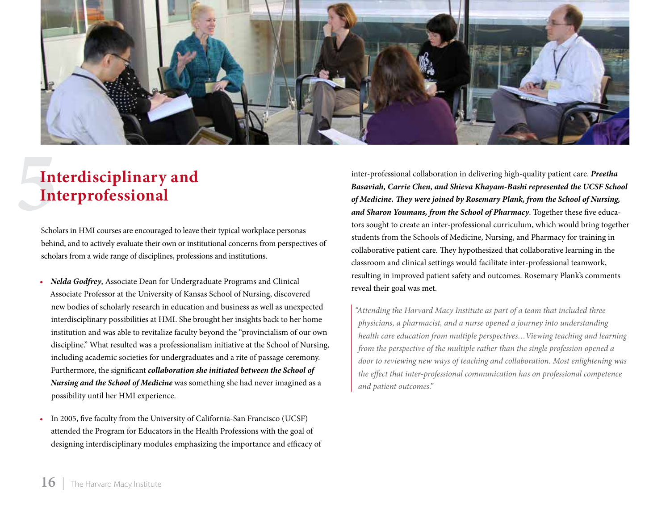

# **5**<br>**5**<br>**5**<br>**5**<br>**5**<br>**5 Interdisciplinary and Interprofessional**

Scholars in HMI courses are encouraged to leave their typical workplace personas behind, and to actively evaluate their own or institutional concerns from perspectives of scholars from a wide range of disciplines, professions and institutions.

- *• Nelda Godfrey*, Associate Dean for Undergraduate Programs and Clinical Associate Professor at the University of Kansas School of Nursing, discovered new bodies of scholarly research in education and business as well as unexpected interdisciplinary possibilities at HMI. She brought her insights back to her home institution and was able to revitalize faculty beyond the "provincialism of our own discipline." What resulted was a professionalism initiative at the School of Nursing, including academic societies for undergraduates and a rite of passage ceremony. Furthermore, the significant *collaboration she initiated between the School of Nursing and the School of Medicine* was something she had never imagined as a possibility until her HMI experience.
- In 2005, five faculty from the University of California-San Francisco (UCSF) attended the Program for Educators in the Health Professions with the goal of designing interdisciplinary modules emphasizing the importance and efficacy of

inter-professional collaboration in delivering high-quality patient care. *Preetha Basaviah, Carrie Chen, and Shieva Khayam-Bashi represented the UCSF School of Medicine. They were joined by Rosemary Plank, from the School of Nursing, and Sharon Youmans, from the School of Pharmacy*. Together these five educators sought to create an inter-professional curriculum, which would bring together students from the Schools of Medicine, Nursing, and Pharmacy for training in collaborative patient care. They hypothesized that collaborative learning in the classroom and clinical settings would facilitate inter-professional teamwork, resulting in improved patient safety and outcomes. Rosemary Plank's comments reveal their goal was met.

*"Attending the Harvard Macy Institute as part of a team that included three physicians, a pharmacist, and a nurse opened a journey into understanding health care education from multiple perspectives…Viewing teaching and learning from the perspective of the multiple rather than the single profession opened a door to reviewing new ways of teaching and collaboration. Most enlightening was the effect that inter-professional communication has on professional competence and patient outcomes."*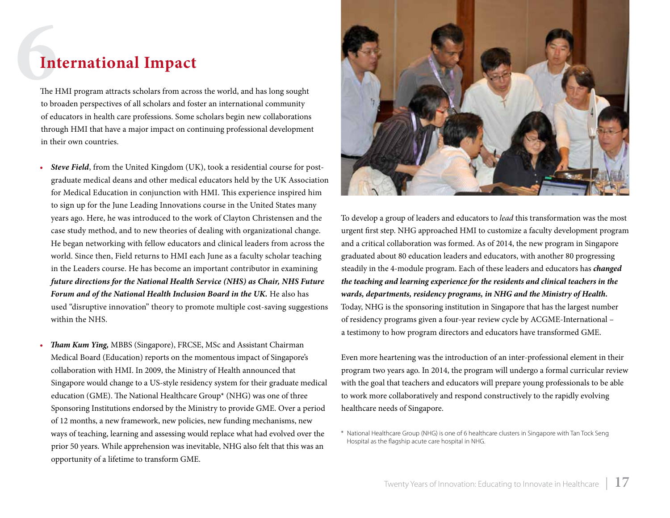### **6International Impact**

The HMI program attracts scholars from across the world, and has long sought to broaden perspectives of all scholars and foster an international community of educators in health care professions. Some scholars begin new collaborations through HMI that have a major impact on continuing professional development in their own countries.

- **Steve Field**, from the United Kingdom (UK), took a residential course for postgraduate medical deans and other medical educators held by the UK Association for Medical Education in conjunction with HMI. This experience inspired him to sign up for the June Leading Innovations course in the United States many years ago. Here, he was introduced to the work of Clayton Christensen and the case study method, and to new theories of dealing with organizational change. He began networking with fellow educators and clinical leaders from across the world. Since then, Field returns to HMI each June as a faculty scholar teaching in the Leaders course. He has become an important contributor in examining *future directions for the National Health Service (NHS) as Chair, NHS Future Forum and of the National Health Inclusion Board in the UK.* He also has used "disruptive innovation" theory to promote multiple cost-saving suggestions within the NHS.
- *Tham Kum Ying, MBBS (Singapore), FRCSE, MSc and Assistant Chairman* Medical Board (Education) reports on the momentous impact of Singapore's collaboration with HMI. In 2009, the Ministry of Health announced that Singapore would change to a US-style residency system for their graduate medical education (GME). The National Healthcare Group\* (NHG) was one of three Sponsoring Institutions endorsed by the Ministry to provide GME. Over a period of 12 months, a new framework, new policies, new funding mechanisms, new ways of teaching, learning and assessing would replace what had evolved over the prior 50 years. While apprehension was inevitable, NHG also felt that this was an opportunity of a lifetime to transform GME.



To develop a group of leaders and educators to *lead* this transformation was the most urgent first step. NHG approached HMI to customize a faculty development program and a critical collaboration was formed. As of 2014, the new program in Singapore graduated about 80 education leaders and educators, with another 80 progressing steadily in the 4-module program. Each of these leaders and educators has *changed the teaching and learning experience for the residents and clinical teachers in the wards, departments, residency programs, in NHG and the Ministry of Health.* Today, NHG is the sponsoring institution in Singapore that has the largest number of residency programs given a four-year review cycle by ACGME-International – a testimony to how program directors and educators have transformed GME.

Even more heartening was the introduction of an inter-professional element in their program two years ago. In 2014, the program will undergo a formal curricular review with the goal that teachers and educators will prepare young professionals to be able to work more collaboratively and respond constructively to the rapidly evolving healthcare needs of Singapore.

\* National Healthcare Group (NHG) is one of 6 healthcare clusters in Singapore with Tan Tock Seng Hospital as the flagship acute care hospital in NHG.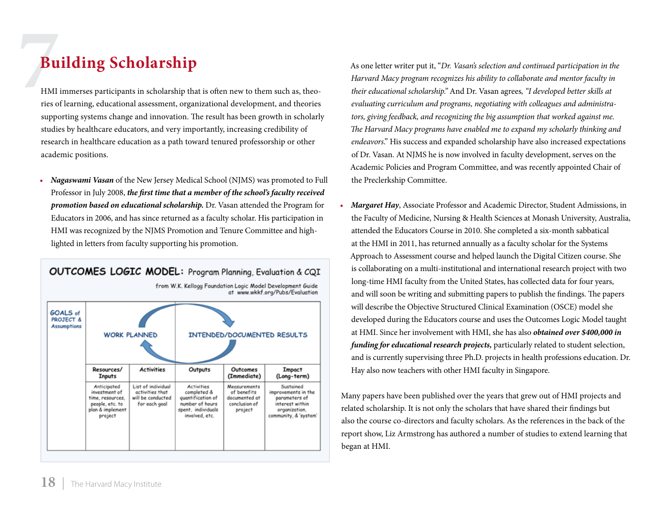### **7Building Scholarship**

HMI immerses participants in scholarship that is often new to them such as, theories of learning, educational assessment, organizational development, and theories supporting systems change and innovation. The result has been growth in scholarly studies by healthcare educators, and very importantly, increasing credibility of research in healthcare education as a path toward tenured professorship or other academic positions.

*• Nagaswami Vasan* of the New Jersey Medical School (NJMS) was promoted to Full Professor in July 2008, *the first time that a member of the school's faculty received promotion based on educational scholarship.* Dr. Vasan attended the Program for Educators in 2006, and has since returned as a faculty scholar. His participation in HMI was recognized by the NJMS Promotion and Tenure Committee and highlighted in letters from faculty supporting his promotion.

| <b>OUTCOMES LOGIC MODEL:</b> Program Planning, Evaluation & CQI<br>from W.K. Kellogg Foundation Logic Model Development Guide<br>at www.wkkf.org/Pubs/Evaluation |                                                                                                    |                                                                             |                                                                                                                  |                                                                          |                                                                                                                |
|------------------------------------------------------------------------------------------------------------------------------------------------------------------|----------------------------------------------------------------------------------------------------|-----------------------------------------------------------------------------|------------------------------------------------------------------------------------------------------------------|--------------------------------------------------------------------------|----------------------------------------------------------------------------------------------------------------|
| GOALS of<br><b>PROJECT &amp;</b><br><b>Assumptions</b>                                                                                                           | <b>WORK PLANNED</b>                                                                                |                                                                             | INTENDED/DOCUMENTED RESULTS                                                                                      |                                                                          |                                                                                                                |
|                                                                                                                                                                  | Resources/<br><b>Inputs</b>                                                                        | <b>Activities</b>                                                           | Outputs                                                                                                          | Outcomes<br>(Immediate)                                                  | Impact<br>(Long-term)                                                                                          |
|                                                                                                                                                                  | Anticipated<br>investment of<br>time, resources,<br>people, etc. to<br>plan & implement<br>project | List of individual<br>activities that<br>will be conducted<br>for each goal | <b>Activities</b><br>completed &<br>quantification of<br>number of hours<br>spent, individuals<br>involved, etc. | Measurements<br>of benefits<br>documented at<br>conclusion of<br>project | Sustained<br>improvements in the<br>parameters of<br>interest within<br>organization,<br>community, & 'system' |

As one letter writer put it, "*Dr. Vasan's selection and continued participation in the Harvard Macy program recognizes his ability to collaborate and mentor faculty in their educational scholarship."* And Dr. Vasan agrees*, "I developed better skills at evaluating curriculum and programs, negotiating with colleagues and administrators, giving feedback, and recognizing the big assumption that worked against me. The Harvard Macy programs have enabled me to expand my scholarly thinking and endeavors*." His success and expanded scholarship have also increased expectations of Dr. Vasan. At NJMS he is now involved in faculty development, serves on the Academic Policies and Program Committee, and was recently appointed Chair of the Preclerkship Committee.

*Margaret Hay*, Associate Professor and Academic Director, Student Admissions, in the Faculty of Medicine, Nursing & Health Sciences at Monash University, Australia, attended the Educators Course in 2010. She completed a six-month sabbatical at the HMI in 2011, has returned annually as a faculty scholar for the Systems Approach to Assessment course and helped launch the Digital Citizen course. She is collaborating on a multi-institutional and international research project with two long-time HMI faculty from the United States, has collected data for four years, and will soon be writing and submitting papers to publish the findings. The papers will describe the Objective Structured Clinical Examination (OSCE) model she developed during the Educators course and uses the Outcomes Logic Model taught at HMI. Since her involvement with HMI, she has also *obtained over \$400,000 in funding for educational research projects,* particularly related to student selection, and is currently supervising three Ph.D. projects in health professions education. Dr. Hay also now teachers with other HMI faculty in Singapore.

Many papers have been published over the years that grew out of HMI projects and related scholarship. It is not only the scholars that have shared their findings but also the course co-directors and faculty scholars. As the references in the back of the report show, Liz Armstrong has authored a number of studies to extend learning that began at HMI.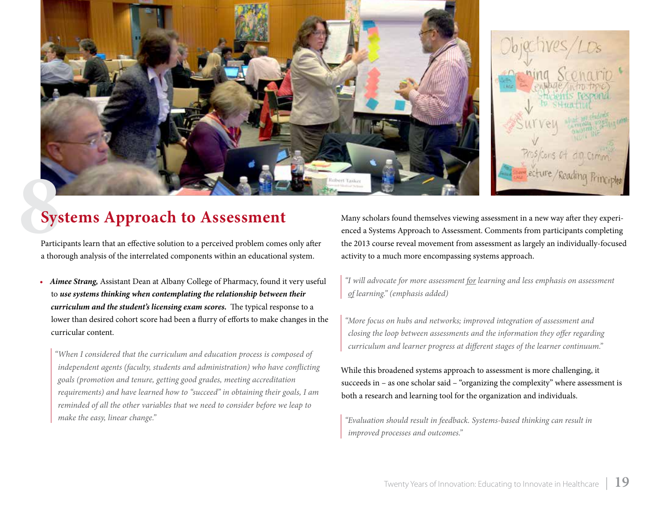



### **8Systems Approach to Assessment**

Participants learn that an effective solution to a perceived problem comes only after a thorough analysis of the interrelated components within an educational system.

*• Aimee Strang,* Assistant Dean at Albany College of Pharmacy, found it very useful to *use systems thinking when contemplating the relationship between their curriculum and the student's licensing exam scores.*  The typical response to a lower than desired cohort score had been a flurry of efforts to make changes in the curricular content.

*"When I considered that the curriculum and education process is composed of independent agents (faculty, students and administration) who have conflicting goals (promotion and tenure, getting good grades, meeting accreditation requirements) and have learned how to "succeed" in obtaining their goals, I am reminded of all the other variables that we need to consider before we leap to make the easy, linear change."*

Many scholars found themselves viewing assessment in a new way after they experienced a Systems Approach to Assessment. Comments from participants completing the 2013 course reveal movement from assessment as largely an individually-focused activity to a much more encompassing systems approach.

*"I will advocate for more assessment for learning and less emphasis on assessment of learning." (emphasis added)*

*"More focus on hubs and networks; improved integration of assessment and closing the loop between assessments and the information they offer regarding curriculum and learner progress at different stages of the learner continuum."*

While this broadened systems approach to assessment is more challenging, it succeeds in – as one scholar said – "organizing the complexity" where assessment is both a research and learning tool for the organization and individuals.

*"Evaluation should result in feedback. Systems-based thinking can result in improved processes and outcomes."*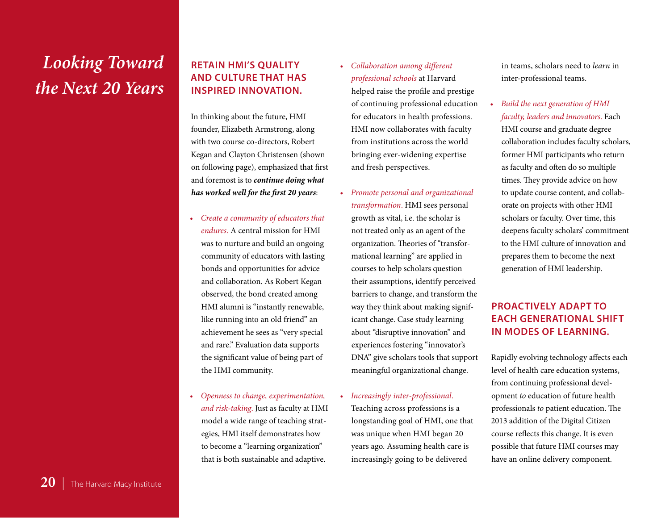### *Looking Toward the Next 20 Years*

**Retain HMI's quality and culture that has inspired innovation.** 

In thinking about the future, HMI founder, Elizabeth Armstrong, along with two course co-directors, Robert Kegan and Clayton Christensen (shown on following page), emphasized that first and foremost is to *continue doing what has worked well for the first 20 years*:

- *• Create a community of educators that endures.* A central mission for HMI was to nurture and build an ongoing community of educators with lasting bonds and opportunities for advice and collaboration. As Robert Kegan observed, the bond created among HMI alumni is "instantly renewable, like running into an old friend" an achievement he sees as "very special and rare." Evaluation data supports the significant value of being part of the HMI community.
- *• Openness to change, experimentation, and risk-taking*. Just as faculty at HMI model a wide range of teaching strategies, HMI itself demonstrates how to become a "learning organization" that is both sustainable and adaptive.
- *• Collaboration among different professional schools* at Harvard helped raise the profile and prestige of continuing professional education for educators in health professions. HMI now collaborates with faculty from institutions across the world bringing ever-widening expertise and fresh perspectives.
- *• Promote personal and organizational transformation*. HMI sees personal growth as vital, i.e. the scholar is not treated only as an agent of the organization. Theories of "transformational learning" are applied in courses to help scholars question their assumptions, identify perceived barriers to change, and transform the way they think about making significant change. Case study learning about "disruptive innovation" and experiences fostering "innovator's DNA" give scholars tools that support meaningful organizational change.
- *• Increasingly inter-professional*. Teaching across professions is a longstanding goal of HMI, one that was unique when HMI began 20 years ago. Assuming health care is increasingly going to be delivered

in teams, scholars need to *learn* in inter-professional teams.

*Build the next generation of HMI faculty, leaders and innovators*. Each HMI course and graduate degree collaboration includes faculty scholars, former HMI participants who return as faculty and often do so multiple times. They provide advice on how to update course content, and collaborate on projects with other HMI scholars or faculty. Over time, this deepens faculty scholars' commitment to the HMI culture of innovation and prepares them to become the next generation of HMI leadership.

### **Proactively adapt to each generational shift in modes of learning.**

Rapidly evolving technology affects each level of health care education systems, from continuing professional development *to* education of future health professionals *to* patient education. The 2013 addition of the Digital Citizen course reflects this change. It is even possible that future HMI courses may have an online delivery component.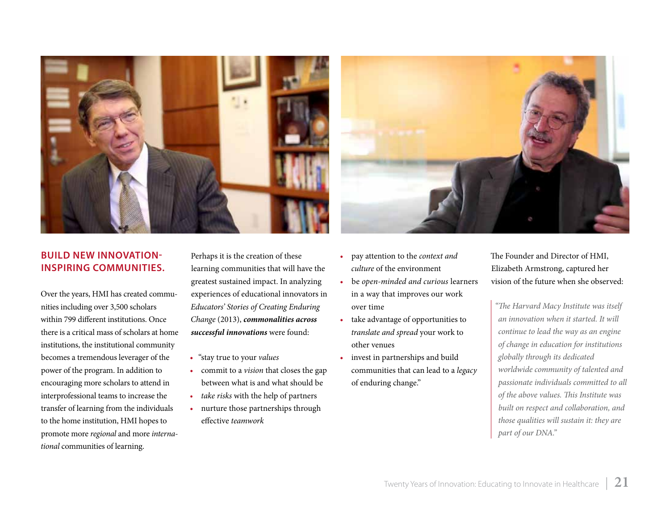

#### **Build new innovationinspiring communities.**

Over the years, HMI has created communities including over 3,500 scholars within 799 different institutions. Once there is a critical mass of scholars at home institutions, the institutional community becomes a tremendous leverager of the power of the program. In addition to encouraging more scholars to attend in interprofessional teams to increase the transfer of learning from the individuals to the home institution, HMI hopes to promote more *regional* and more *international* communities of learning.

Perhaps it is the creation of these learning communities that will have the greatest sustained impact. In analyzing experiences of educational innovators in *Educators' Stories of Creating Enduring Change* (2013), *commonalities across successful innovations* were found:

- • "stay true to your *values*
- • commit to a *vision* that closes the gap between what is and what should be
- *• take risks* with the help of partners
- nurture those partnerships through effective *teamwork*



- • pay attention to the *context and culture* of the environment
- • be *open-minded and curious* learners in a way that improves our work over time
- • take advantage of opportunities to *translate and spread* your work to other venues
- invest in partnerships and build communities that can lead to a *legacy* of enduring change."

The Founder and Director of HMI, Elizabeth Armstrong, captured her vision of the future when she observed:

*"The Harvard Macy Institute was itself an innovation when it started. It will continue to lead the way as an engine of change in education for institutions globally through its dedicated worldwide community of talented and passionate individuals committed to all of the above values. This Institute was built on respect and collaboration, and those qualities will sustain it: they are part of our DNA."*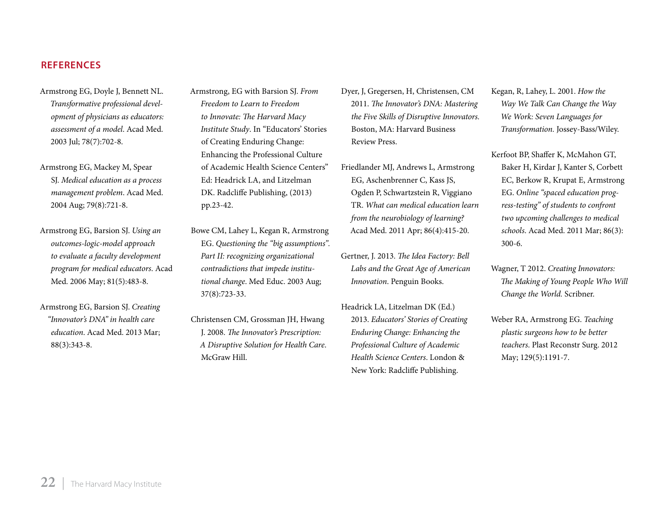#### **References**

- Armstrong EG, Doyle J, Bennett NL. *Transformative professional development of physicians as educators: assessment of a model*. Acad Med. 2003 Jul; 78(7):702-8.
- Armstrong EG, Mackey M, Spear SJ. *Medical education as a process management problem*. Acad Med. 2004 Aug; 79(8):721-8.
- Armstrong EG, Barsion SJ. *Using an outcomes-logic-model approach to evaluate a faculty development program for medical educators*. Acad Med. 2006 May; 81(5):483-8.
- Armstrong EG, Barsion SJ. *Creating "Innovator's DNA" in health care education*. Acad Med. 2013 Mar; 88(3):343-8.
- Armstrong, EG with Barsion SJ. *From Freedom to Learn to Freedom to Innovate: The Harvard Macy Institute Study*. In "Educators' Stories of Creating Enduring Change: Enhancing the Professional Culture of Academic Health Science Centers" Ed: Headrick LA, and Litzelman DK. Radcliffe Publishing, (2013) pp.23-42.
- Bowe CM, Lahey L, Kegan R, Armstrong EG. *Questioning the "big assumptions". Part II: recognizing organizational contradictions that impede institutional change*. Med Educ. 2003 Aug; 37(8):723-33.
- Christensen CM, Grossman JH, Hwang J. 2008. *The Innovator's Prescription: A Disruptive Solution for Health Care*. McGraw Hill.
- Dyer, J, Gregersen, H, Christensen, CM 2011. *The Innovator's DNA: Mastering the Five Skills of Disruptive Innovators.* Boston, MA: Harvard Business Review Press.
- Friedlander MJ, Andrews L, Armstrong EG, Aschenbrenner C, Kass JS, Ogden P, Schwartzstein R, Viggiano TR. *What can medical education learn from the neurobiology of learning?* Acad Med. 2011 Apr; 86(4):415-20.
- Gertner, J. 2013. *The Idea Factory: Bell Labs and the Great Age of American Innovation*. Penguin Books.
- Headrick LA, Litzelman DK (Ed.) 2013. *Educators' Stories of Creating Enduring Change: Enhancing the Professional Culture of Academic Health Science Centers*. London & New York: Radcliffe Publishing.
- Kegan, R, Lahey, L. 2001. *How the Way We Talk Can Change the Way We Work: Seven Languages for Transformation.* Jossey-Bass/Wiley.
- Kerfoot BP, Shaffer K, McMahon GT, Baker H, Kirdar J, Kanter S, Corbett EC, Berkow R, Krupat E, Armstrong EG. *Online "spaced education progress-testing" of students to confront two upcoming challenges to medical schools*. Acad Med. 2011 Mar; 86(3): 300-6.
- Wagner, T 2012. *Creating Innovators: The Making of Young People Who Will Change the World.* Scribner.
- Weber RA, Armstrong EG. *Teaching plastic surgeons how to be better teachers*. Plast Reconstr Surg. 2012 May; 129(5):1191-7.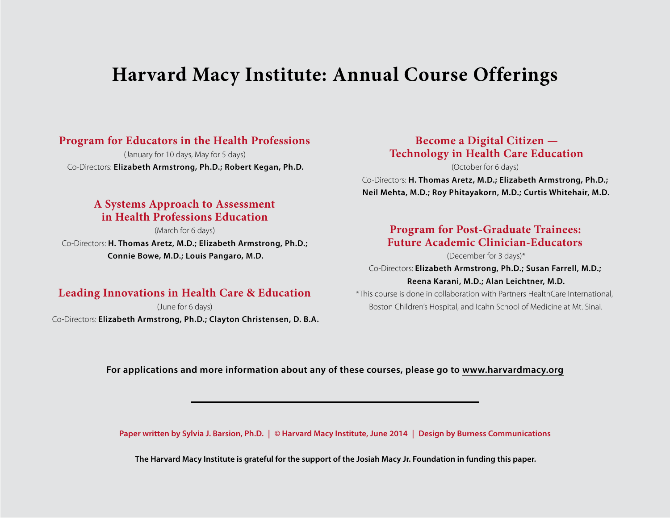### **Harvard Macy Institute: Annual Course Offerings**

### **Program for Educators in the Health Professions**

(January for 10 days, May for 5 days) Co-Directors: **Elizabeth Armstrong, Ph.D.; Robert Kegan, Ph.D.**

### **A Systems Approach to Assessment in Health Professions Education**

(March for 6 days) Co-Directors: **H. Thomas Aretz, M.D.; Elizabeth Armstrong, Ph.D.; Connie Bowe, M.D.; Louis Pangaro, M.D.**

### **Leading Innovations in Health Care & Education**

(June for 6 days) Co-Directors: **Elizabeth Armstrong, Ph.D.; Clayton Christensen, D. B.A.**

### **Become a Digital Citizen — Technology in Health Care Education**

(October for 6 days) Co-Directors: **H. Thomas Aretz, M.D.; Elizabeth Armstrong, Ph.D.; Neil Mehta, M.D.; Roy Phitayakorn, M.D.; Curtis Whitehair, M.D.** 

### **Program for Post-Graduate Trainees: Future Academic Clinician-Educators**

(December for 3 days)\*

Co-Directors: **Elizabeth Armstrong, Ph.D.; Susan Farrell, M.D.; Reena Karani, M.D.; Alan Leichtner, M.D.**

\*This course is done in collaboration with Partners HealthCare International, Boston Children's Hospital, and Icahn School of Medicine at Mt. Sinai.

#### **For applications and more information about any of these courses, please go to [www.harvardmacy.org](http://www.harvardmacy.org)**

**Paper written by Sylvia J. Barsion, Ph.D. | © Harvard Macy Institute, June 2014 | Design by Burness Communications** 

**The Harvard Macy Institute is grateful for the support of the Josiah Macy Jr. Foundation in funding this paper.**